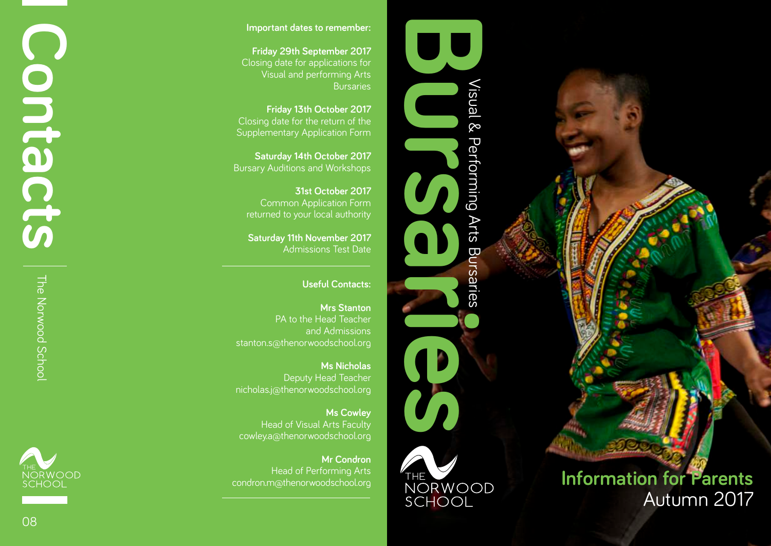

#### **Important dates to remember:**

**Friday 29th September 2017**  Closin g date for applications for Bursaries

**Friday 13th October 2017**  Closin g date for the return of the Supplementary Application Form

**Saturday 14th October 2017**  Bursary Auditions and Workshops

**31st October 2017**  Common Application Form returned to your local authority

**Saturday 11th November 2017**  Admissions Test Date

#### **Useful Contacts:**

**Mrs Stanton** PA to the Head Teacher and Admissions stanton.s@thenorwoodschool.or g

**Ms Nicholas**  Deputy Head Teacher nicholas.j@thenorwoodschool.or g

**Ms Cowley**  Head of Visual Arts Faculty cowley.a@thenorwoodschool.or g

**Mr Condron**  condron.m@thenorwoodschool.or g





**Information for Parents** <u>Autumn 2017</u><br>08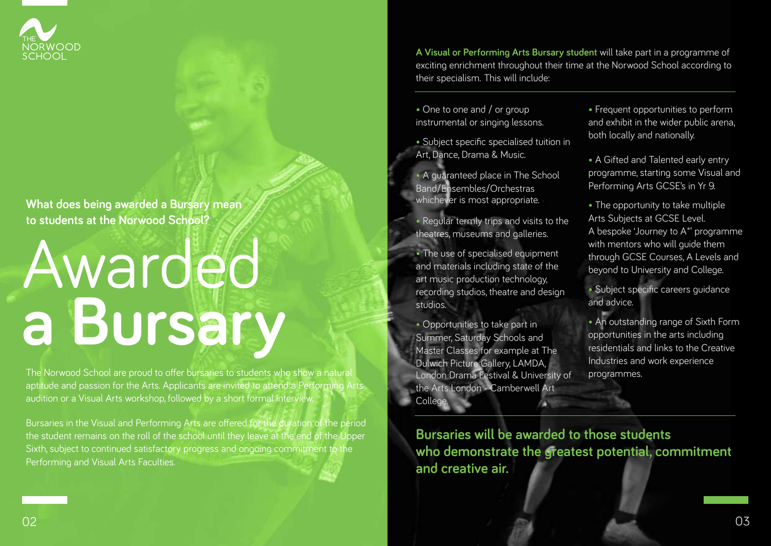

**What does being awarded a Bursary mean to students at the Norwood School?** 

## Awarded **a Bursary**

The Norwood School are proud to offer bursaries to students who show a natural aptitude and passion for the Arts. Applicants are invited to attend a Performing Arts audition or a Visual Arts workshop, followed by a short formal interview

Bursaries in the Visual and Performing Arts are offered for the duration of the period the student remains on the roll of the school until they leave at the end of the Upper Sixth, subject to continued satisfactory progress and ongoing commitment to the Performing and Visual Arts Faculties.

**A Visual or Performing Arts Bursary student** will take part in a programme of exciting enrichment throughout their time at the Norwood School according to their specialism. This will include:

- One to one and / or group instrumental or singing lessons.
- Subject specific specialised tuition in Art, Dance, Drama & Music.
- A guaranteed place in The School Band/Ensembles/Orchestras whichever is most appropriate.
- Regular termly trips and visits to the theatres, museums and galleries.
- The use of specialised equipment and materials including state of the art music production technology, recording studios, theatre and design studios.
- Opportunities to take part in Summer, Saturday Schools and Master Classes for example at The Dulwich Picture Gallery, LAMDA, London Drama Festival & University of the Arts London - Camberwell Art College.
- Frequent opportunities to perform and exhibit in the wider public arena, both locally and nationally.
- A Gifted and Talented early entry programme, starting some Visual and Performing Arts GCSE's in Yr 9.
- The opportunity to take multiple Arts Subjects at GCSE Level. A bespoke 'Journey to A\*' programme with mentors who will guide them through GCSE Courses, A Levels and beyond to University and College.
- Subject specific careers guidance and advice.
- An outstanding range of Sixth Form opportunities in the arts including residentials and links to the Creative Industries and work experience programmes.

**Bursaries will be awarded to those students who demonstrate the greatest potential, commitment and creative air.**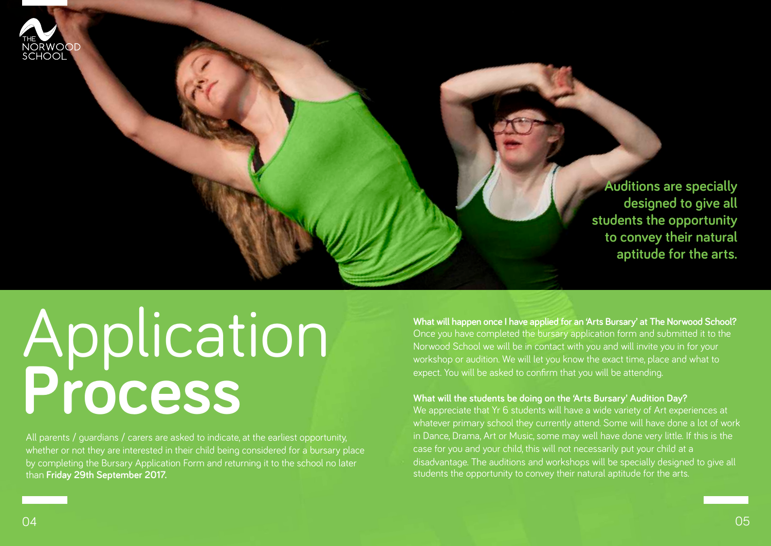

**Auditions are specially designed to give all students the opportunity to convey their natural aptitude for the arts.** 

# **Application Process**

All parents / guardians / carers are asked to indicate, at the earliest opportunity, whether or not they are interested in their child being considered for a bursary place by completing the Bursary Application Form and returning it to the school no later than **Friday 29th September 2017.** 

**What will happen once I have applied for an 'Arts Bursary' at The Norwood School?** Once you have completed the bursary application form and submitted it to the Norwood School we will be in contact with you and will invite you in for your workshop or audition. We will let you know the exact time, place and what to expect. You will be asked to confirm that you will be attending.

#### **What will the students be doing on the 'Arts Bursary' Audition Day?**

We appreciate that Yr 6 students will have a wide variety of Art experiences at whatever primary school they currently attend. Some will have done a lot of work in Dance, Drama, Art or Music, some may well have done very little. If this is the case for you and your child, this will not necessarily put your child at a disadvantage. The auditions and workshops will be specially designed to give all students the opportunity to convey their natural aptitude for the arts.